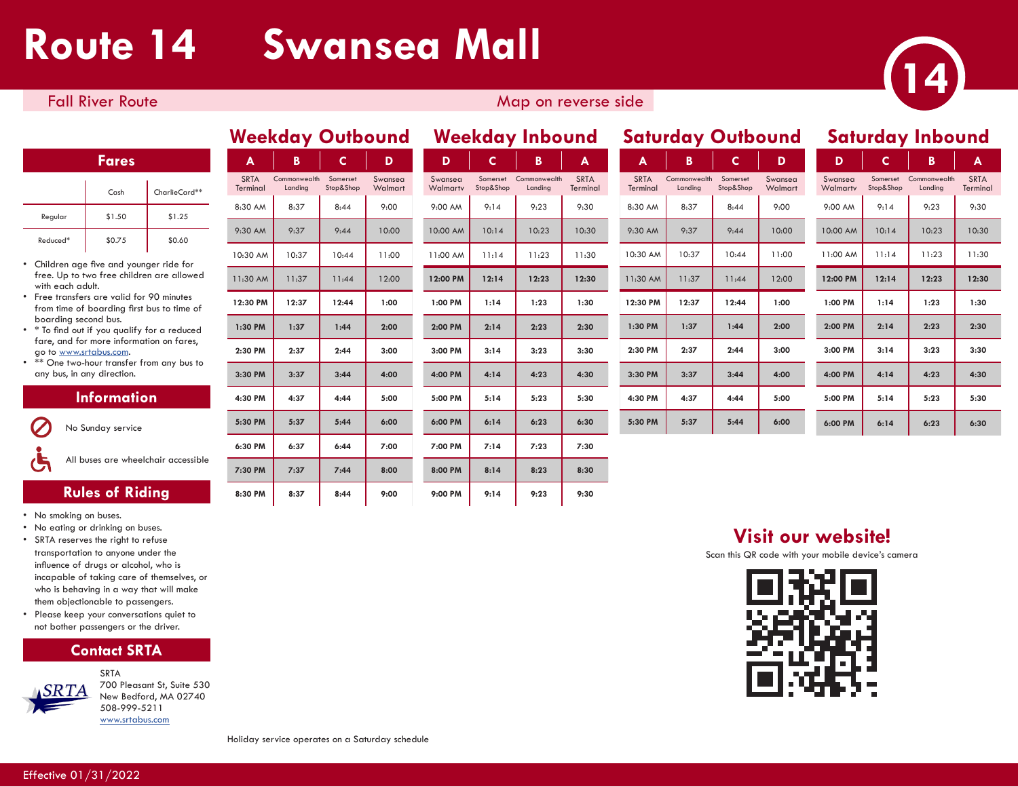# **Route 14 Swansea Mall**



## Fall River Route Map on reverse side Map on reverse side

### **Fares**

|          | C <sub>ash</sub> | CharlieCard** |
|----------|------------------|---------------|
| Regular  | \$1.50           | \$1.25        |
| Reduced* | \$0.75           | \$0.60        |

- Children age five and younger ride for free. Up to two free children are allowed with each adult.
- Free transfers are valid for 90 minutes from time of boarding first bus to time of boarding second bus.
- \* To find out if you qualify for a reduced fare, and for more information on fares, go to www.srtabus.com.
- \*\* One two-hour transfer from any bus to any bus, in any direction.

### **Information**



All buses are wheelchair accessible

## **Rules of Riding**

- No smoking on buses.
- No eating or drinking on buses.
- SRTA reserves the right to refuse transportation to anyone under the influence of drugs or alcohol, who is incapable of taking care of themselves, or who is behaving in a way that will make them objectionable to passengers.
- Please keep your conversations quiet to not bother passengers or the driver.





SRTA 700 Pleasant St, Suite 530 New Bedford, MA 02740 508-999-5211 www.srtabus.com

| Weekday Outbound        |                         | <b>Weekday Inbound</b> |                    |                     |                       |                         | <b>Safurday Outbound</b> |  |                         |                         |                       | <b>Saturday Inbound</b> |                     |                       |                         |                     |
|-------------------------|-------------------------|------------------------|--------------------|---------------------|-----------------------|-------------------------|--------------------------|--|-------------------------|-------------------------|-----------------------|-------------------------|---------------------|-----------------------|-------------------------|---------------------|
| $\mathsf{A}$            | B                       | $\mathsf{C}$           | D                  | D                   | C.                    | B                       | A                        |  | A                       | B                       | $\mathbf{C}$          | D                       | D                   | C                     | B                       | $\overline{A}$      |
| <b>SRTA</b><br>Terminal | Commonwealth<br>Landing | Somerset<br>Stop&Shop  | Swansea<br>Walmart | Swansea<br>Walmartv | Somerset<br>Stop&Shop | Commonwealth<br>Landing | <b>SRTA</b><br>Terminal  |  | <b>SRTA</b><br>Terminal | Commonwealth<br>Landing | Somerset<br>Stop&Shop | Swansea<br>Walmart      | Swansea<br>Walmartv | Somerset<br>Stop&Shop | Commonwealth<br>Landing | <b>SRT</b><br>Termi |
| 8:30 AM                 | 8:37                    | 8:44                   | 9:00               | 9:00 AM             | 9:14                  | 9:23                    | 9:30                     |  | 8:30 AM                 | 8:37                    | 8:44                  | 9:00                    | 9:00 AM             | 9:14                  | 9:23                    | 9:3                 |
| 9:30 AM                 | 9:37                    | 9:44                   | 10:00              | 10:00 AM            | 10:14                 | 10:23                   | 10:30                    |  | 9:30 AM                 | 9:37                    | 9:44                  | 10:00                   | 10:00 AM            | 10:14                 | 10:23                   | 10:3                |
| 10:30 AM                | 10:37                   | 10:44                  | 11:00              | 11:00 AM            | 11:14                 | 11:23                   | 11:30                    |  | 10:30 AM                | 10:37                   | 10:44                 | 11:00                   | 11:00 AM            | 11:14                 | 11:23                   | 11:                 |
| 11:30 AM                | 11:37                   | 11:44                  | 12:00              | 12:00 PM            | 12:14                 | 12:23                   | 12:30                    |  | 11:30 AM                | 11:37                   | 11:44                 | 12:00                   | 12:00 PM            | 12:14                 | 12:23                   | 12:3                |
| 12:30 PM                | 12:37                   | 12:44                  | 1:00               | 1:00 PM             | 1:14                  | 1:23                    | 1:30                     |  | 12:30 PM                | 12:37                   | 12:44                 | 1:00                    | 1:00 PM             | 1:14                  | 1:23                    | 1:3                 |
| 1:30 PM                 | 1:37                    | 1:44                   | 2:00               | 2:00 PM             | 2:14                  | 2:23                    | 2:30                     |  | 1:30 PM                 | 1:37                    | 1:44                  | 2:00                    | 2:00 PM             | 2:14                  | 2:23                    | 2:3                 |
| 2:30 PM                 | 2:37                    | 2:44                   | 3:00               | 3:00 PM             | 3:14                  | 3:23                    | 3:30                     |  | 2:30 PM                 | 2:37                    | 2:44                  | 3:00                    | 3:00 PM             | 3:14                  | 3:23                    | 3:3                 |
| 3:30 PM                 | 3:37                    | 3:44                   | 4:00               | 4:00 PM             | 4:14                  | 4:23                    | 4:30                     |  | 3:30 PM                 | 3:37                    | 3:44                  | 4:00                    | 4:00 PM             | 4:14                  | 4:23                    | 4:3                 |
| 4:30 PM                 | 4:37                    | 4:44                   | 5:00               | 5:00 PM             | 5:14                  | 5:23                    | 5:30                     |  | 4:30 PM                 | 4:37                    | 4:44                  | 5:00                    | 5:00 PM             | 5:14                  | 5:23                    | 5:3                 |
| 5:30 PM                 | 5:37                    | 5:44                   | 6:00               | 6:00 PM             | 6:14                  | 6:23                    | 6:30                     |  | 5:30 PM                 | 5:37                    | 5:44                  | 6:00                    | 6:00 PM             | 6:14                  | 6:23                    | 6:3                 |
| 6:30 PM                 | 6:37                    | 6:44                   | 7:00               | 7:00 PM             | 7:14                  | 7:23                    | 7:30                     |  |                         |                         |                       |                         |                     |                       |                         |                     |
| 7:30 PM                 | 7:37                    | 7:44                   | 8:00               | 8:00 PM             | 8:14                  | 8:23                    | 8:30                     |  |                         |                         |                       |                         |                     |                       |                         |                     |
| 8:30 PM                 | 8:37                    | 8:44                   | 9:00               | 9:00 PM             | 9:14                  | 9:23                    | 9:30                     |  |                         |                         |                       |                         |                     |                       |                         |                     |

| <b>Weekday Outbound</b> |                         |                       | <b>Weekday Inbound</b> |                     |                       |                         |                         | <b>Saturday Outbound</b> |                         | <b>Saturday Inbound</b> |                    |                     |                       |                         |                        |
|-------------------------|-------------------------|-----------------------|------------------------|---------------------|-----------------------|-------------------------|-------------------------|--------------------------|-------------------------|-------------------------|--------------------|---------------------|-----------------------|-------------------------|------------------------|
| $\mathbf{A}$            | B                       | C.                    | D                      | D                   | C                     | B                       | A                       | A                        | B                       | C                       | D                  | D                   | c                     | B                       | A                      |
| <b>SRTA</b><br>Terminal | Commonwealth<br>Landing | Somerset<br>Stop&Shop | Swansea<br>Walmart     | Swansea<br>Walmarty | Somerset<br>Stop&Shop | Commonwealth<br>Landing | <b>SRTA</b><br>Terminal | <b>SRTA</b><br>Terminal  | Commonwealth<br>Landing | Somerset<br>Stop&Shop   | Swansea<br>Walmart | Swansea<br>Walmarty | Somerset<br>Stop&Shop | Commonwealth<br>Landing | <b>SRTA</b><br>Terminc |
| 8:30 AM                 | 8:37                    | 8:44                  | 9:00                   | 9:00 AM             | 9:14                  | 9:23                    | 9:30                    | 8:30 AM                  | 8:37                    | 8:44                    | 9:00               | 9:00 AM             | 9:14                  | 9:23                    | 9:30                   |
| 9:30 AM                 | 9:37                    | 9:44                  | 10:00                  | 10:00 AM            | 10:14                 | 10:23                   | 10:30                   | 9:30 AM                  | 9:37                    | 9:44                    | 10:00              | 10:00 AM            | 10:14                 | 10:23                   | 10:30                  |
| 10:30 AM                | 10:37                   | 10:44                 | 11:00                  | 11:00 AM            | 11:14                 | 11:23                   | 11:30                   | 10:30 AM                 | 10:37                   | 10:44                   | 11:00              | 11:00 AM            | 11:14                 | 11:23                   | 11:30                  |
| 11:30 AM                | 11:37                   | 11:44                 | 12:00                  | 12:00 PM            | 12:14                 | 12:23                   | 12:30                   | 11:30 AM                 | 11:37                   | 11:44                   | 12:00              | 12:00 PM            | 12:14                 | 12:23                   | 12:30                  |
| 12:30 PM                | 12:37                   | 12:44                 | 1:00                   | 1:00 PM             | 1:14                  | 1:23                    | 1:30                    | 12:30 PM                 | 12:37                   | 12:44                   | 1:00               | 1:00 PM             | 1:14                  | 1:23                    | 1:30                   |
| 1:30 PM                 | 1:37                    | 1:44                  | 2:00                   | 2:00 PM             | 2:14                  | 2:23                    | 2:30                    | 1:30 PM                  | 1:37                    | 1:44                    | 2:00               | 2:00 PM             | 2:14                  | 2:23                    | 2:30                   |
| 2:30 PM                 | 2:37                    | 2:44                  | 3:00                   | 3:00 PM             | 3:14                  | 3:23                    | 3:30                    | 2:30 PM                  | 2:37                    | 2:44                    | 3:00               | 3:00 PM             | 3:14                  | 3:23                    | 3:30                   |
| 3:30 PM                 | 3:37                    | 3:44                  | 4:00                   | 4:00 PM             | 4:14                  | 4:23                    | 4:30                    | 3:30 PM                  | 3:37                    | 3:44                    | 4:00               | 4:00 PM             | 4:14                  | 4:23                    | 4:30                   |
| $4:30$ PM               | 4:37                    | 4:44                  | 5:00                   | 5:00 PM             | 5:14                  | 5:23                    | 5:30                    | 4:30 PM                  | 4:37                    | 4:44                    | 5:00               | 5:00 PM             | 5:14                  | 5:23                    | 5:30                   |

| c                     | B       | A                       |
|-----------------------|---------|-------------------------|
| Somerset<br>Stop&Shop | Landing | <b>SRTA</b><br>Terminal |
| 9.14                  | 9:23    | 9:30                    |
| 10.14                 | 10:23   | 10:30                   |
| 11:14                 | 11:23   | 11:30                   |
| 12:14                 | 12:23   | 12:30                   |
| 1:14                  | 1:23    | 1:30                    |
| 2:14                  | 2:23    | 2:30                    |
| 3:14                  | 3:23    | 3:30                    |
| 4:14                  | 4:23    | 4:30                    |
|                       |         |                         |
| 5:14                  | 5:23    | 5:30                    |
|                       |         | Commonwealth            |

**Visit our website!**

Scan this QR code with your mobile device's camera



#### Holiday service operates on a Saturday schedule